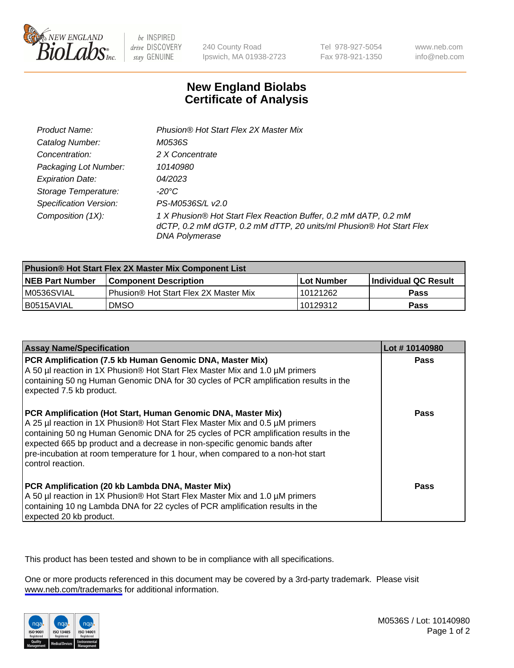

be INSPIRED drive DISCOVERY stay GENUINE

240 County Road Ipswich, MA 01938-2723 Tel 978-927-5054 Fax 978-921-1350

www.neb.com info@neb.com

## **New England Biolabs Certificate of Analysis**

| Product Name:                 | Phusion® Hot Start Flex 2X Master Mix                                                                                                                     |
|-------------------------------|-----------------------------------------------------------------------------------------------------------------------------------------------------------|
| Catalog Number:               | M0536S                                                                                                                                                    |
| Concentration:                | 2 X Concentrate                                                                                                                                           |
| Packaging Lot Number:         | 10140980                                                                                                                                                  |
| <b>Expiration Date:</b>       | 04/2023                                                                                                                                                   |
| Storage Temperature:          | -20°C                                                                                                                                                     |
| <b>Specification Version:</b> | PS-M0536S/L v2.0                                                                                                                                          |
| Composition (1X):             | 1 X Phusion® Hot Start Flex Reaction Buffer, 0.2 mM dATP, 0.2 mM<br>dCTP, 0.2 mM dGTP, 0.2 mM dTTP, 20 units/ml Phusion® Hot Start Flex<br>DNA Polymerase |

| <b>Phusion® Hot Start Flex 2X Master Mix Component List</b> |                                       |            |                             |  |
|-------------------------------------------------------------|---------------------------------------|------------|-----------------------------|--|
| <b>NEB Part Number</b>                                      | <b>Component Description</b>          | Lot Number | <b>Individual QC Result</b> |  |
| M0536SVIAL                                                  | Phusion® Hot Start Flex 2X Master Mix | 10121262   | Pass                        |  |
| I B0515AVIAL                                                | <b>DMSO</b>                           | 10129312   | <b>Pass</b>                 |  |

| <b>Assay Name/Specification</b>                                                                                                                                                                                                                                                                                                                                                                                            | Lot #10140980 |
|----------------------------------------------------------------------------------------------------------------------------------------------------------------------------------------------------------------------------------------------------------------------------------------------------------------------------------------------------------------------------------------------------------------------------|---------------|
| PCR Amplification (7.5 kb Human Genomic DNA, Master Mix)<br>A 50 µl reaction in 1X Phusion® Hot Start Flex Master Mix and 1.0 µM primers<br>containing 50 ng Human Genomic DNA for 30 cycles of PCR amplification results in the<br>expected 7.5 kb product.                                                                                                                                                               | Pass          |
| PCR Amplification (Hot Start, Human Genomic DNA, Master Mix)<br>A 25 µl reaction in 1X Phusion® Hot Start Flex Master Mix and 0.5 µM primers<br>containing 50 ng Human Genomic DNA for 25 cycles of PCR amplification results in the<br>expected 665 bp product and a decrease in non-specific genomic bands after<br>pre-incubation at room temperature for 1 hour, when compared to a non-hot start<br>control reaction. | <b>Pass</b>   |
| PCR Amplification (20 kb Lambda DNA, Master Mix)<br>A 50 µl reaction in 1X Phusion® Hot Start Flex Master Mix and 1.0 µM primers<br>containing 10 ng Lambda DNA for 22 cycles of PCR amplification results in the<br>expected 20 kb product.                                                                                                                                                                               | Pass          |

This product has been tested and shown to be in compliance with all specifications.

One or more products referenced in this document may be covered by a 3rd-party trademark. Please visit <www.neb.com/trademarks>for additional information.